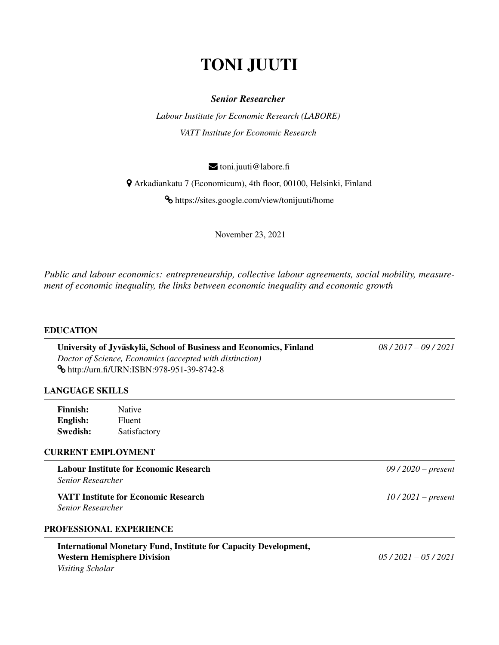# TONI JUUTI

# *Senior Researcher*

*Labour Institute for Economic Research (LABORE) VATT Institute for Economic Research*

 $\blacktriangleright$  toni.juuti@labore.fi

½ Arkadiankatu 7 (Economicum), 4th floor, 00100, Helsinki, Finland

® https://sites.google.com/view/tonijuuti/home

November 23, 2021

*Public and labour economics: entrepreneurship, collective labour agreements, social mobility, measurement of economic inequality, the links between economic inequality and economic growth*

### EDUCATION

University of Jyväskylä, School of Business and Economics, Finland  $\frac{08}{2017} - \frac{09}{2021}$ *Doctor of Science, Economics (accepted with distinction)* ® http://urn.fi/URN:ISBN:978-951-39-8742-8

## LANGUAGE SKILLS

| Finnish:        | <b>Native</b> |
|-----------------|---------------|
| English:        | Fluent        |
| <b>Swedish:</b> | Satisfactory  |

## CURRENT EMPLOYMENT

Labour Institute for Economic Research *09 / 2020 – present Senior Researcher*

VATT Institute for Economic Research *10 / 2021 – present Senior Researcher*

# PROFESSIONAL EXPERIENCE

# International Monetary Fund, Institute for Capacity Development, Western Hemisphere Division *05 / 2021 – 05 / 2021 Visiting Scholar*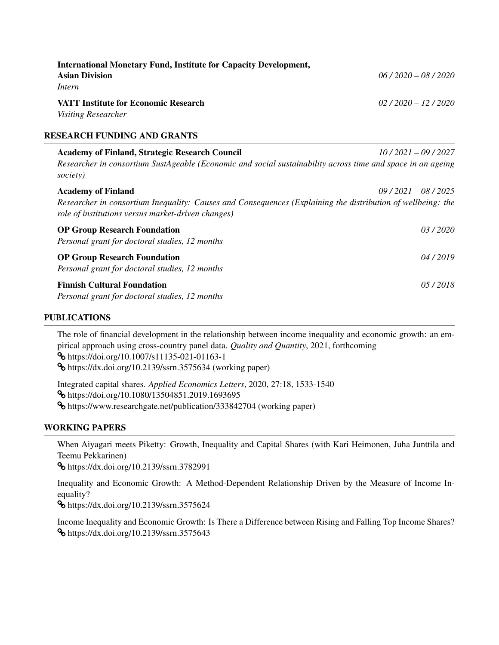| <b>International Monetary Fund, Institute for Capacity Development,</b><br><b>Asian Division</b><br>Intern                                                        | $06/2020 - 08/2020$ |
|-------------------------------------------------------------------------------------------------------------------------------------------------------------------|---------------------|
| <b>VATT Institute for Economic Research</b><br>Visiting Researcher                                                                                                | $02/2020 - 12/2020$ |
| RESEARCH FUNDING AND GRANTS                                                                                                                                       |                     |
| <b>Academy of Finland, Strategic Research Council</b>                                                                                                             | $10/2021 - 09/2027$ |
| Researcher in consortium SustAgeable (Economic and social sustainability across time and space in an ageing<br>society)                                           |                     |
| <b>Academy of Finland</b>                                                                                                                                         | $09/2021 - 08/2025$ |
| Researcher in consortium Inequality: Causes and Consequences (Explaining the distribution of wellbeing: the<br>role of institutions versus market-driven changes) |                     |

| <b>OP Group Research Foundation</b><br>Personal grant for doctoral studies, 12 months | 03/2020 |
|---------------------------------------------------------------------------------------|---------|
| <b>OP Group Research Foundation</b><br>Personal grant for doctoral studies, 12 months | 04/2019 |
| <b>Finnish Cultural Foundation</b><br>Personal grant for doctoral studies, 12 months  | 05/2018 |

# PUBLICATIONS

The role of financial development in the relationship between income inequality and economic growth: an empirical approach using cross-country panel data. *Quality and Quantity*, 2021, forthcoming ® https://doi.org/10.1007/s11135-021-01163-1 ® https://dx.doi.org/10.2139/ssrn.3575634 (working paper) Integrated capital shares. *Applied Economics Letters*, 2020, 27:18, 1533-1540

® https://doi.org/10.1080/13504851.2019.1693695

® https://www.researchgate.net/publication/333842704 (working paper)

# WORKING PAPERS

When Aiyagari meets Piketty: Growth, Inequality and Capital Shares (with Kari Heimonen, Juha Junttila and Teemu Pekkarinen)

® https://dx.doi.org/10.2139/ssrn.3782991

Inequality and Economic Growth: A Method-Dependent Relationship Driven by the Measure of Income Inequality?

® https://dx.doi.org/10.2139/ssrn.3575624

Income Inequality and Economic Growth: Is There a Difference between Rising and Falling Top Income Shares? ® https://dx.doi.org/10.2139/ssrn.3575643